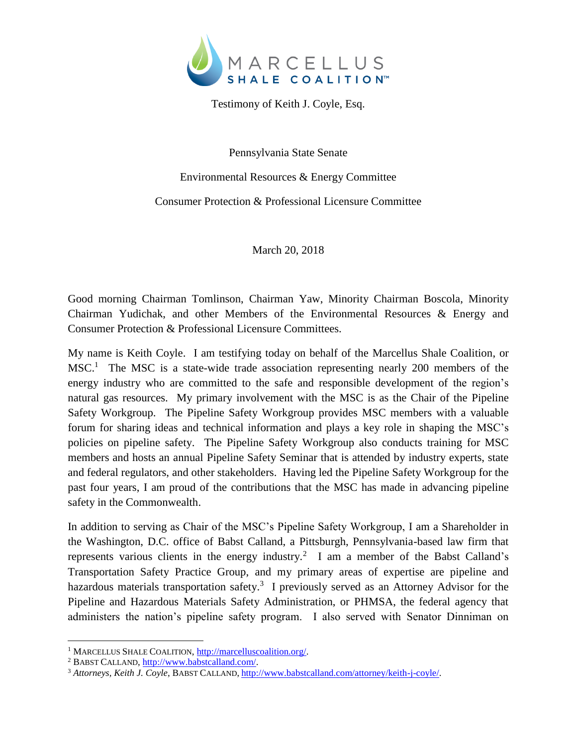

Testimony of Keith J. Coyle, Esq.

Pennsylvania State Senate

Environmental Resources & Energy Committee

Consumer Protection & Professional Licensure Committee

March 20, 2018

Good morning Chairman Tomlinson, Chairman Yaw, Minority Chairman Boscola, Minority Chairman Yudichak, and other Members of the Environmental Resources & Energy and Consumer Protection & Professional Licensure Committees.

My name is Keith Coyle. I am testifying today on behalf of the Marcellus Shale Coalition, or MSC.<sup>1</sup> The MSC is a state-wide trade association representing nearly 200 members of the energy industry who are committed to the safe and responsible development of the region's natural gas resources. My primary involvement with the MSC is as the Chair of the Pipeline Safety Workgroup. The Pipeline Safety Workgroup provides MSC members with a valuable forum for sharing ideas and technical information and plays a key role in shaping the MSC's policies on pipeline safety. The Pipeline Safety Workgroup also conducts training for MSC members and hosts an annual Pipeline Safety Seminar that is attended by industry experts, state and federal regulators, and other stakeholders. Having led the Pipeline Safety Workgroup for the past four years, I am proud of the contributions that the MSC has made in advancing pipeline safety in the Commonwealth.

In addition to serving as Chair of the MSC's Pipeline Safety Workgroup, I am a Shareholder in the Washington, D.C. office of Babst Calland, a Pittsburgh, Pennsylvania-based law firm that represents various clients in the energy industry.<sup>2</sup> I am a member of the Babst Calland's Transportation Safety Practice Group, and my primary areas of expertise are pipeline and hazardous materials transportation safety.<sup>3</sup> I previously served as an Attorney Advisor for the Pipeline and Hazardous Materials Safety Administration, or PHMSA, the federal agency that administers the nation's pipeline safety program. I also served with Senator Dinniman on

 $\overline{a}$ 

<sup>1</sup> MARCELLUS SHALE COALITION[, http://marcelluscoalition.org/.](http://marcelluscoalition.org/)

<sup>&</sup>lt;sup>2</sup> BABST CALLAND, [http://www.babstcalland.com/.](http://www.babstcalland.com/)

<sup>3</sup> *Attorneys, Keith J. Coyle*, BABST CALLAND, [http://www.babstcalland.com/attorney/keith-j-coyle/.](http://www.babstcalland.com/attorney/keith-j-coyle/)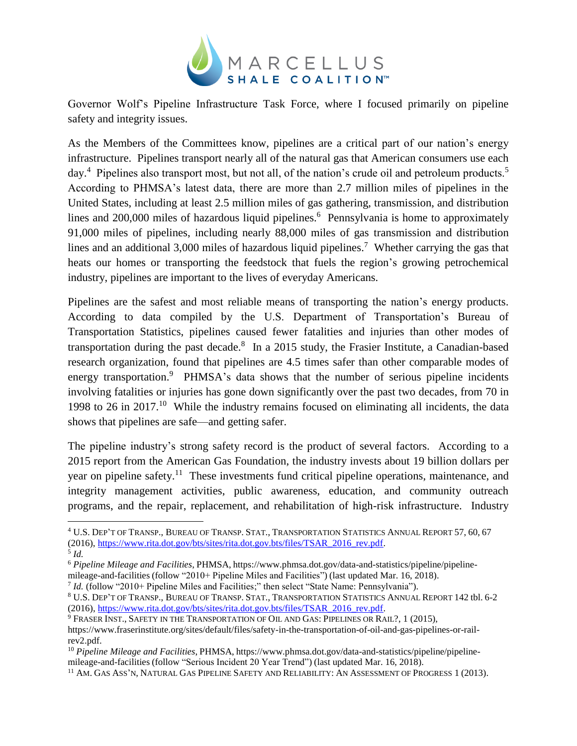

Governor Wolf's Pipeline Infrastructure Task Force, where I focused primarily on pipeline safety and integrity issues.

As the Members of the Committees know, pipelines are a critical part of our nation's energy infrastructure. Pipelines transport nearly all of the natural gas that American consumers use each day.<sup>4</sup> Pipelines also transport most, but not all, of the nation's crude oil and petroleum products.<sup>5</sup> According to PHMSA's latest data, there are more than 2.7 million miles of pipelines in the United States, including at least 2.5 million miles of gas gathering, transmission, and distribution lines and 200,000 miles of hazardous liquid pipelines.<sup>6</sup> Pennsylvania is home to approximately 91,000 miles of pipelines, including nearly 88,000 miles of gas transmission and distribution lines and an additional 3,000 miles of hazardous liquid pipelines.<sup>7</sup> Whether carrying the gas that heats our homes or transporting the feedstock that fuels the region's growing petrochemical industry, pipelines are important to the lives of everyday Americans.

Pipelines are the safest and most reliable means of transporting the nation's energy products. According to data compiled by the U.S. Department of Transportation's Bureau of Transportation Statistics, pipelines caused fewer fatalities and injuries than other modes of transportation during the past decade.<sup>8</sup> In a 2015 study, the Frasier Institute, a Canadian-based research organization, found that pipelines are 4.5 times safer than other comparable modes of energy transportation.<sup>9</sup> PHMSA's data shows that the number of serious pipeline incidents involving fatalities or injuries has gone down significantly over the past two decades, from 70 in 1998 to 26 in 2017.<sup>10</sup> While the industry remains focused on eliminating all incidents, the data shows that pipelines are safe—and getting safer.

The pipeline industry's strong safety record is the product of several factors. According to a 2015 report from the American Gas Foundation, the industry invests about 19 billion dollars per year on pipeline safety.<sup>11</sup> These investments fund critical pipeline operations, maintenance, and integrity management activities, public awareness, education, and community outreach programs, and the repair, replacement, and rehabilitation of high-risk infrastructure. Industry

 $\overline{a}$ 

<sup>4</sup> U.S. DEP'T OF TRANSP., BUREAU OF TRANSP. STAT., TRANSPORTATION STATISTICS ANNUAL REPORT 57, 60, 67 (2016)[, https://www.rita.dot.gov/bts/sites/rita.dot.gov.bts/files/TSAR\\_2016\\_rev.pdf.](https://www.rita.dot.gov/bts/sites/rita.dot.gov.bts/files/TSAR_2016_rev.pdf)

<sup>5</sup> *Id.*

<sup>6</sup> *Pipeline Mileage and Facilities*, PHMSA, https://www.phmsa.dot.gov/data-and-statistics/pipeline/pipeline-

mileage-and-facilities (follow "2010+ Pipeline Miles and Facilities") (last updated Mar. 16, 2018).

<sup>&</sup>lt;sup>7</sup> Id. (follow "2010+ Pipeline Miles and Facilities;" then select "State Name: Pennsylvania").

<sup>8</sup> U.S. DEP'T OF TRANSP., BUREAU OF TRANSP. STAT., TRANSPORTATION STATISTICS ANNUAL REPORT 142 tbl. 6-2 (2016)[, https://www.rita.dot.gov/bts/sites/rita.dot.gov.bts/files/TSAR\\_2016\\_rev.pdf.](https://www.rita.dot.gov/bts/sites/rita.dot.gov.bts/files/TSAR_2016_rev.pdf)

<sup>9</sup> FRASER INST., SAFETY IN THE TRANSPORTATION OF OIL AND GAS: PIPELINES OR RAIL?, 1 (2015), https://www.fraserinstitute.org/sites/default/files/safety-in-the-transportation-of-oil-and-gas-pipelines-or-railrev2.pdf.

<sup>10</sup> *Pipeline Mileage and Facilities*, PHMSA, https://www.phmsa.dot.gov/data-and-statistics/pipeline/pipelinemileage-and-facilities (follow "Serious Incident 20 Year Trend") (last updated Mar. 16, 2018).

<sup>&</sup>lt;sup>11</sup> AM. GAS ASS'N, NATURAL GAS PIPELINE SAFETY AND RELIABILITY: AN ASSESSMENT OF PROGRESS 1 (2013).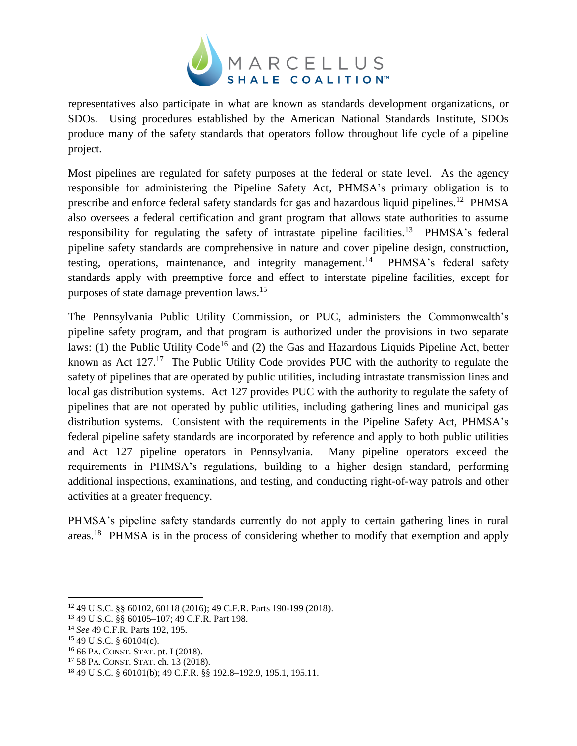

representatives also participate in what are known as standards development organizations, or SDOs. Using procedures established by the American National Standards Institute, SDOs produce many of the safety standards that operators follow throughout life cycle of a pipeline project.

Most pipelines are regulated for safety purposes at the federal or state level. As the agency responsible for administering the Pipeline Safety Act, PHMSA's primary obligation is to prescribe and enforce federal safety standards for gas and hazardous liquid pipelines.<sup>12</sup> PHMSA also oversees a federal certification and grant program that allows state authorities to assume responsibility for regulating the safety of intrastate pipeline facilities.<sup>13</sup> PHMSA's federal pipeline safety standards are comprehensive in nature and cover pipeline design, construction, testing, operations, maintenance, and integrity management.<sup>14</sup> PHMSA's federal safety standards apply with preemptive force and effect to interstate pipeline facilities, except for purposes of state damage prevention laws. 15

The Pennsylvania Public Utility Commission, or PUC, administers the Commonwealth's pipeline safety program, and that program is authorized under the provisions in two separate laws: (1) the Public Utility Code<sup>16</sup> and (2) the Gas and Hazardous Liquids Pipeline Act, better known as Act 127.<sup>17</sup> The Public Utility Code provides PUC with the authority to regulate the safety of pipelines that are operated by public utilities, including intrastate transmission lines and local gas distribution systems. Act 127 provides PUC with the authority to regulate the safety of pipelines that are not operated by public utilities, including gathering lines and municipal gas distribution systems. Consistent with the requirements in the Pipeline Safety Act, PHMSA's federal pipeline safety standards are incorporated by reference and apply to both public utilities and Act 127 pipeline operators in Pennsylvania. Many pipeline operators exceed the requirements in PHMSA's regulations, building to a higher design standard, performing additional inspections, examinations, and testing, and conducting right-of-way patrols and other activities at a greater frequency.

PHMSA's pipeline safety standards currently do not apply to certain gathering lines in rural areas.<sup>18</sup> PHMSA is in the process of considering whether to modify that exemption and apply

 $\overline{a}$ 

<sup>16</sup> 66 PA. CONST. STAT. pt. I (2018).

<sup>12</sup> 49 U.S.C. §§ 60102, 60118 (2016); 49 C.F.R. Parts 190-199 (2018).

<sup>13</sup> 49 U.S.C. §§ 60105–107; 49 C.F.R. Part 198.

<sup>14</sup> *See* 49 C.F.R. Parts 192, 195.

 $15$  49 U.S.C. § 60104(c).

<sup>17</sup> 58 PA. CONST. STAT. ch. 13 (2018).

<sup>18</sup> 49 U.S.C. § 60101(b); 49 C.F.R. §§ 192.8–192.9, 195.1, 195.11.